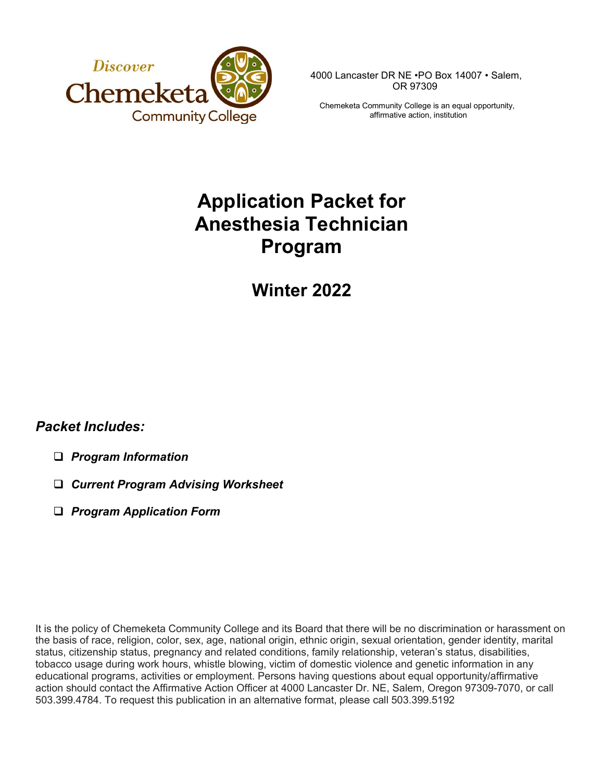

4000 Lancaster DR NE •PO Box 14007 • Salem, OR 97309

Chemeketa Community College is an equal opportunity, affirmative action, institution

# **Application Packet for Anesthesia Technician Program**

# **Winter 2022**

# *Packet Includes:*

- *Program Information*
- *Current Program Advising Worksheet*
- *Program Application Form*

It is the policy of Chemeketa Community College and its Board that there will be no discrimination or harassment on the basis of race, religion, color, sex, age, national origin, ethnic origin, sexual orientation, gender identity, marital status, citizenship status, pregnancy and related conditions, family relationship, veteran's status, disabilities, tobacco usage during work hours, whistle blowing, victim of domestic violence and genetic information in any educational programs, activities or employment. Persons having questions about equal opportunity/affirmative action should contact the Affirmative Action Officer at 4000 Lancaster Dr. NE, Salem, Oregon 97309-7070, or call 503.399.4784. To request this publication in an alternative format, please call 503.399.5192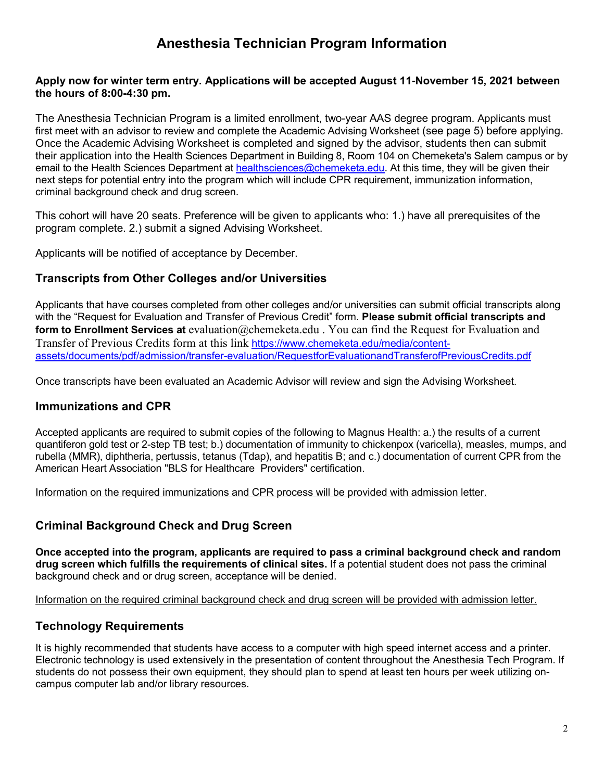# **Anesthesia Technician Program Information**

#### **Apply now for winter term entry. Applications will be accepted August 11-November 15, 2021 between the hours of 8:00-4:30 pm.**

The Anesthesia Technician Program is a limited enrollment, two-year AAS degree program. Applicants must first meet with an advisor to review and complete the Academic Advising Worksheet (see page 5) before applying. Once the Academic Advising Worksheet is completed and signed by the advisor, students then can submit their application into the Health Sciences Department in Building 8, Room 104 on Chemeketa's Salem campus or by email to the Health Sciences Department at [healthsciences@chemeketa.edu.](mailto:healthsciences@chemeketa.edu) At this time, they will be given their next steps for potential entry into the program which will include CPR requirement, immunization information, criminal background check and drug screen.

This cohort will have 20 seats. Preference will be given to applicants who: 1.) have all prerequisites of the program complete. 2.) submit a signed Advising Worksheet.

Applicants will be notified of acceptance by December.

### **Transcripts from Other Colleges and/or Universities**

Applicants that have courses completed from other colleges and/or universities can submit official transcripts along with the "Request for Evaluation and Transfer of Previous Credit" form. **Please submit official transcripts and form to Enrollment Services at** evaluation@chemeketa.edu . You can find the Request for Evaluation and Transfer of Previous Credits form at this link [https://www.chemeketa.edu/media/content](https://www.chemeketa.edu/media/content-assets/documents/pdf/admission/transfer-evaluation/RequestforEvaluationandTransferofPreviousCredits.pdf)[assets/documents/pdf/admission/transfer-evaluation/RequestforEvaluationandTransferofPreviousCredits.pdf](https://www.chemeketa.edu/media/content-assets/documents/pdf/admission/transfer-evaluation/RequestforEvaluationandTransferofPreviousCredits.pdf)

Once transcripts have been evaluated an Academic Advisor will review and sign the Advising Worksheet.

### **Immunizations and CPR**

Accepted applicants are required to submit copies of the following to Magnus Health: a.) the results of a current quantiferon gold test or 2-step TB test; b.) documentation of immunity to chickenpox (varicella), measles, mumps, and rubella (MMR), diphtheria, pertussis, tetanus (Tdap), and hepatitis B; and c.) documentation of current CPR from the American Heart Association "BLS for Healthcare Providers" certification.

Information on the required immunizations and CPR process will be provided with admission letter.

### **Criminal Background Check and Drug Screen**

**Once accepted into the program, applicants are required to pass a criminal background check and random drug screen which fulfills the requirements of clinical sites.** If a potential student does not pass the criminal background check and or drug screen, acceptance will be denied.

Information on the required criminal background check and drug screen will be provided with admission letter.

### **Technology Requirements**

It is highly recommended that students have access to a computer with high speed internet access and a printer. Electronic technology is used extensively in the presentation of content throughout the Anesthesia Tech Program. If students do not possess their own equipment, they should plan to spend at least ten hours per week utilizing oncampus computer lab and/or library resources.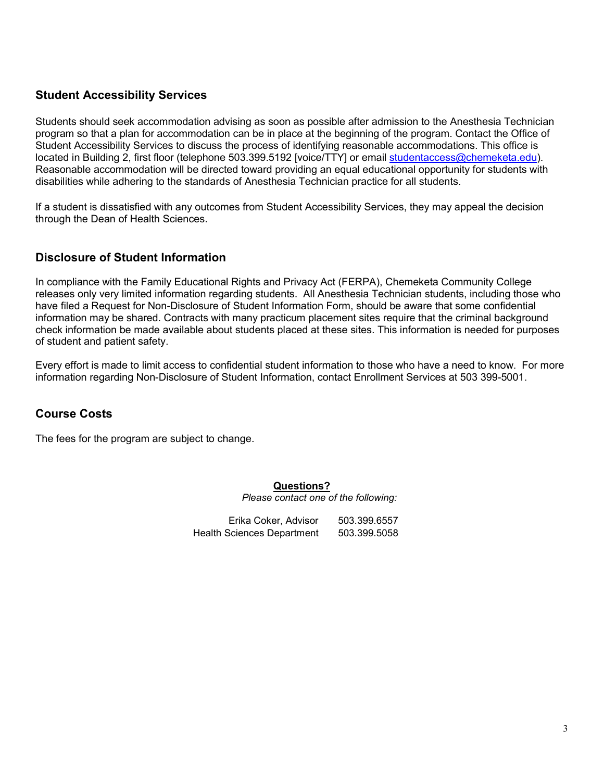## **Student Accessibility Services**

Students should seek accommodation advising as soon as possible after admission to the Anesthesia Technician program so that a plan for accommodation can be in place at the beginning of the program. Contact the Office of Student Accessibility Services to discuss the process of identifying reasonable accommodations. This office is located in Building 2, first floor (telephone 503.399.5192 [voice/TTY] or email [studentaccess@chemeketa.edu\)](mailto:studentaccess@chemeketa.edu). Reasonable accommodation will be directed toward providing an equal educational opportunity for students with disabilities while adhering to the standards of Anesthesia Technician practice for all students.

If a student is dissatisfied with any outcomes from Student Accessibility Services, they may appeal the decision through the Dean of Health Sciences.

## **Disclosure of Student Information**

In compliance with the Family Educational Rights and Privacy Act (FERPA), Chemeketa Community College releases only very limited information regarding students. All Anesthesia Technician students, including those who have filed a Request for Non-Disclosure of Student Information Form, should be aware that some confidential information may be shared. Contracts with many practicum placement sites require that the criminal background check information be made available about students placed at these sites. This information is needed for purposes of student and patient safety.

Every effort is made to limit access to confidential student information to those who have a need to know. For more information regarding Non-Disclosure of Student Information, contact Enrollment Services at 503 399-5001.

## **Course Costs**

The fees for the program are subject to change.

#### **Questions?**

*Please contact one of the following:* 

Erika Coker, Advisor 503.399.6557 Health Sciences Department 503.399.5058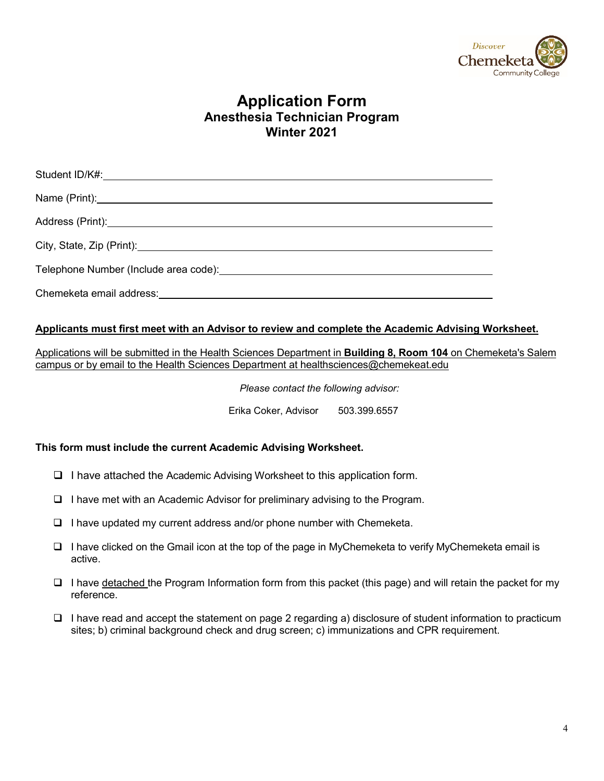

# **Application Form Anesthesia Technician Program Winter 2021**

#### **Applicants must first meet with an Advisor to review and complete the Academic Advising Worksheet.**

Applications will be submitted in the Health Sciences Department in **Building 8, Room 104** on Chemeketa's Salem campus or by email to the Health Sciences Department at healthsciences@chemekeat.edu

*Please contact the following advisor:* 

Erika Coker, Advisor 503.399.6557

#### **This form must include the current Academic Advising Worksheet.**

- $\Box$  I have attached the Academic Advising Worksheet to this application form.
- $\Box$  I have met with an Academic Advisor for preliminary advising to the Program.
- $\Box$  I have updated my current address and/or phone number with Chemeketa.
- $\Box$  I have clicked on the Gmail icon at the top of the page in MyChemeketa to verify MyChemeketa email is active.
- I have detached the Program Information form from this packet (this page) and will retain the packet for my reference.
- $\Box$  I have read and accept the statement on page 2 regarding a) disclosure of student information to practicum sites; b) criminal background check and drug screen; c) immunizations and CPR requirement.